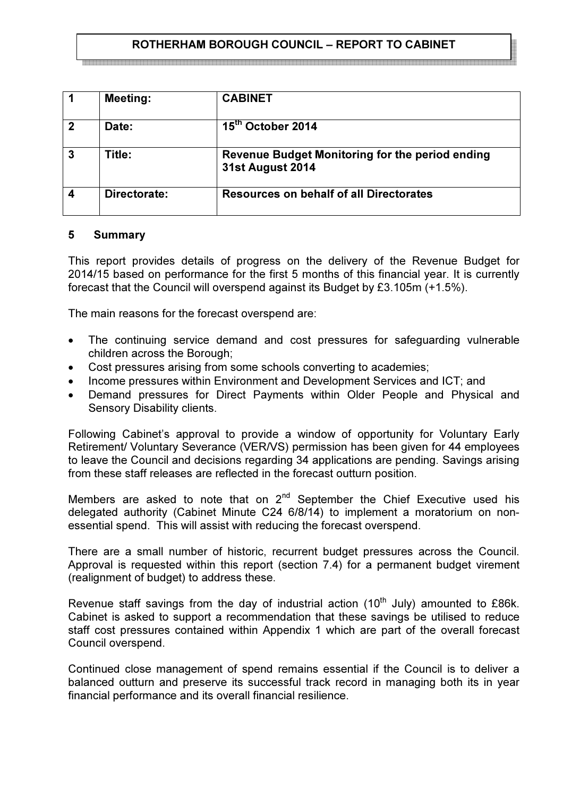# ROTHERHAM BOROUGH COUNCIL – REPORT TO CABINET

|                | <b>Meeting:</b> | <b>CABINET</b>                                                             |
|----------------|-----------------|----------------------------------------------------------------------------|
| $\overline{2}$ | Date:           | 15 <sup>th</sup> October 2014                                              |
| $\overline{3}$ | Title:          | Revenue Budget Monitoring for the period ending<br><b>31st August 2014</b> |
|                | Directorate:    | <b>Resources on behalf of all Directorates</b>                             |

#### 5 Summary

This report provides details of progress on the delivery of the Revenue Budget for 2014/15 based on performance for the first 5 months of this financial year. It is currently forecast that the Council will overspend against its Budget by £3.105m (+1.5%).

The main reasons for the forecast overspend are:

- The continuing service demand and cost pressures for safeguarding vulnerable children across the Borough;
- Cost pressures arising from some schools converting to academies;
- Income pressures within Environment and Development Services and ICT; and
- Demand pressures for Direct Payments within Older People and Physical and Sensory Disability clients.

Following Cabinet's approval to provide a window of opportunity for Voluntary Early Retirement/ Voluntary Severance (VER/VS) permission has been given for 44 employees to leave the Council and decisions regarding 34 applications are pending. Savings arising from these staff releases are reflected in the forecast outturn position.

Members are asked to note that on  $2^{nd}$  September the Chief Executive used his delegated authority (Cabinet Minute C24 6/8/14) to implement a moratorium on nonessential spend. This will assist with reducing the forecast overspend.

There are a small number of historic, recurrent budget pressures across the Council. Approval is requested within this report (section 7.4) for a permanent budget virement (realignment of budget) to address these.

Revenue staff savings from the day of industrial action  $(10<sup>th</sup>$  July) amounted to £86k. Cabinet is asked to support a recommendation that these savings be utilised to reduce staff cost pressures contained within Appendix 1 which are part of the overall forecast Council overspend.

Continued close management of spend remains essential if the Council is to deliver a balanced outturn and preserve its successful track record in managing both its in year financial performance and its overall financial resilience.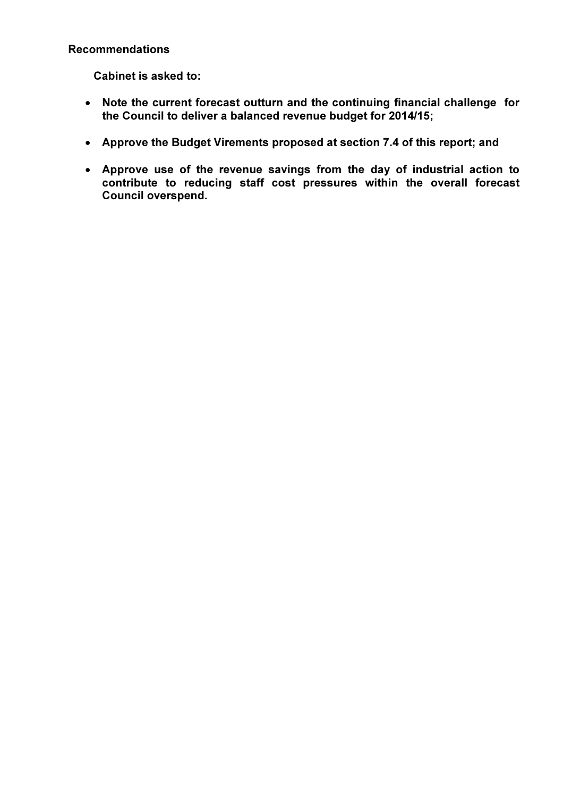### Recommendations

Cabinet is asked to:

- Note the current forecast outturn and the continuing financial challenge for the Council to deliver a balanced revenue budget for 2014/15;
- Approve the Budget Virements proposed at section 7.4 of this report; and
- Approve use of the revenue savings from the day of industrial action to contribute to reducing staff cost pressures within the overall forecast Council overspend.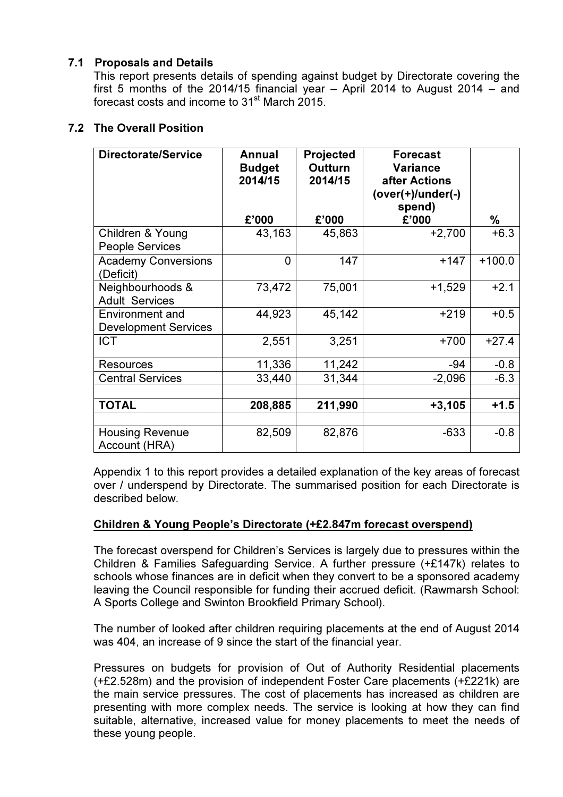# 7.1 Proposals and Details

This report presents details of spending against budget by Directorate covering the first 5 months of the 2014/15 financial year – April 2014 to August 2014 – and forecast costs and income to 31<sup>st</sup> March 2015.

# 7.2 The Overall Position

| <b>Directorate/Service</b>                            | Annual<br><b>Budget</b><br>2014/15<br>£'000 | <b>Projected</b><br><b>Outturn</b><br>2014/15 | <b>Forecast</b><br><b>Variance</b><br>after Actions<br>(over(+)/under(-)<br>spend) |             |
|-------------------------------------------------------|---------------------------------------------|-----------------------------------------------|------------------------------------------------------------------------------------|-------------|
| Children & Young                                      | 43,163                                      | £'000<br>45,863                               | £'000<br>$+2,700$                                                                  | %<br>$+6.3$ |
| <b>People Services</b>                                |                                             |                                               |                                                                                    |             |
| <b>Academy Conversions</b><br>(Deficit)               | 0                                           | 147                                           | $+147$                                                                             | $+100.0$    |
| Neighbourhoods &<br><b>Adult Services</b>             | 73,472                                      | 75,001                                        | $+1,529$                                                                           | $+2.1$      |
| <b>Environment and</b><br><b>Development Services</b> | 44,923                                      | 45,142                                        | $+219$                                                                             | $+0.5$      |
| <b>ICT</b>                                            | 2,551                                       | 3,251                                         | $+700$                                                                             | $+27.4$     |
| <b>Resources</b>                                      | 11,336                                      | 11,242                                        | $-94$                                                                              | $-0.8$      |
| <b>Central Services</b>                               | 33,440                                      | 31,344                                        | $-2,096$                                                                           | $-6.3$      |
|                                                       |                                             |                                               |                                                                                    |             |
| <b>TOTAL</b>                                          | 208,885                                     | 211,990                                       | $+3,105$                                                                           | $+1.5$      |
|                                                       |                                             |                                               |                                                                                    |             |
| <b>Housing Revenue</b><br>Account (HRA)               | 82,509                                      | 82,876                                        | $-633$                                                                             | $-0.8$      |

 Appendix 1 to this report provides a detailed explanation of the key areas of forecast over / underspend by Directorate. The summarised position for each Directorate is described below.

### Children & Young People's Directorate (+£2.847m forecast overspend)

The forecast overspend for Children's Services is largely due to pressures within the Children & Families Safeguarding Service. A further pressure (+£147k) relates to schools whose finances are in deficit when they convert to be a sponsored academy leaving the Council responsible for funding their accrued deficit. (Rawmarsh School: A Sports College and Swinton Brookfield Primary School).

The number of looked after children requiring placements at the end of August 2014 was 404, an increase of 9 since the start of the financial year.

Pressures on budgets for provision of Out of Authority Residential placements (+£2.528m) and the provision of independent Foster Care placements (+£221k) are the main service pressures. The cost of placements has increased as children are presenting with more complex needs. The service is looking at how they can find suitable, alternative, increased value for money placements to meet the needs of these young people.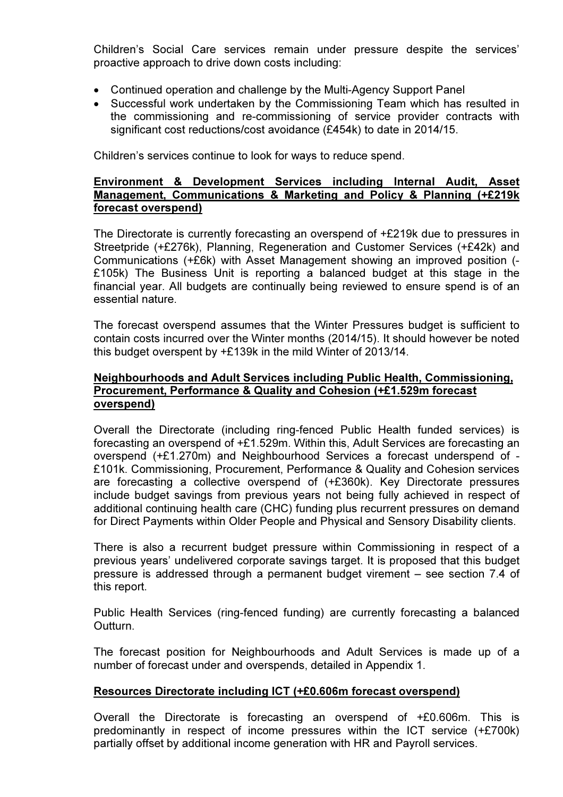Children's Social Care services remain under pressure despite the services' proactive approach to drive down costs including:

- Continued operation and challenge by the Multi-Agency Support Panel
- Successful work undertaken by the Commissioning Team which has resulted in the commissioning and re-commissioning of service provider contracts with significant cost reductions/cost avoidance (£454k) to date in 2014/15.

Children's services continue to look for ways to reduce spend.

#### Environment & Development Services including Internal Audit, Asset Management, Communications & Marketing and Policy & Planning (+£219k forecast overspend)

 The Directorate is currently forecasting an overspend of +£219k due to pressures in Streetpride (+£276k), Planning, Regeneration and Customer Services (+£42k) and Communications (+£6k) with Asset Management showing an improved position (- £105k) The Business Unit is reporting a balanced budget at this stage in the financial year. All budgets are continually being reviewed to ensure spend is of an essential nature.

The forecast overspend assumes that the Winter Pressures budget is sufficient to contain costs incurred over the Winter months (2014/15). It should however be noted this budget overspent by +£139k in the mild Winter of 2013/14.

### Neighbourhoods and Adult Services including Public Health, Commissioning, Procurement, Performance & Quality and Cohesion (+£1.529m forecast overspend)

Overall the Directorate (including ring-fenced Public Health funded services) is forecasting an overspend of +£1.529m. Within this, Adult Services are forecasting an overspend (+£1.270m) and Neighbourhood Services a forecast underspend of - £101k. Commissioning, Procurement, Performance & Quality and Cohesion services are forecasting a collective overspend of (+£360k). Key Directorate pressures include budget savings from previous years not being fully achieved in respect of additional continuing health care (CHC) funding plus recurrent pressures on demand for Direct Payments within Older People and Physical and Sensory Disability clients.

There is also a recurrent budget pressure within Commissioning in respect of a previous years' undelivered corporate savings target. It is proposed that this budget pressure is addressed through a permanent budget virement – see section 7.4 of this report.

Public Health Services (ring-fenced funding) are currently forecasting a balanced Outturn.

The forecast position for Neighbourhoods and Adult Services is made up of a number of forecast under and overspends, detailed in Appendix 1.

# Resources Directorate including ICT (+£0.606m forecast overspend)

Overall the Directorate is forecasting an overspend of +£0.606m. This is predominantly in respect of income pressures within the ICT service (+£700k) partially offset by additional income generation with HR and Payroll services.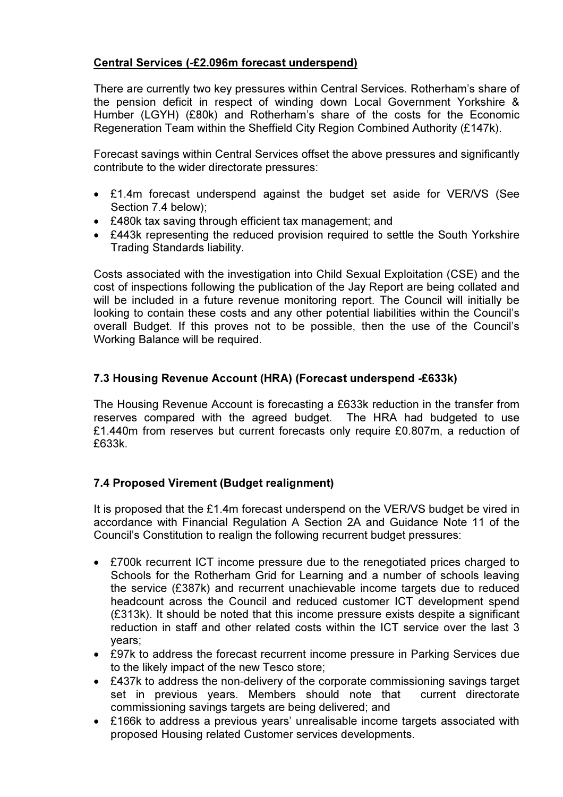# Central Services (-£2.096m forecast underspend)

There are currently two key pressures within Central Services. Rotherham's share of the pension deficit in respect of winding down Local Government Yorkshire & Humber (LGYH) (£80k) and Rotherham's share of the costs for the Economic Regeneration Team within the Sheffield City Region Combined Authority (£147k).

Forecast savings within Central Services offset the above pressures and significantly contribute to the wider directorate pressures:

- £1.4m forecast underspend against the budget set aside for VER/VS (See Section 7.4 below);
- £480k tax saving through efficient tax management; and
- £443k representing the reduced provision required to settle the South Yorkshire Trading Standards liability.

Costs associated with the investigation into Child Sexual Exploitation (CSE) and the cost of inspections following the publication of the Jay Report are being collated and will be included in a future revenue monitoring report. The Council will initially be looking to contain these costs and any other potential liabilities within the Council's overall Budget. If this proves not to be possible, then the use of the Council's Working Balance will be required.

# 7.3 Housing Revenue Account (HRA) (Forecast underspend -£633k)

The Housing Revenue Account is forecasting a £633k reduction in the transfer from reserves compared with the agreed budget. The HRA had budgeted to use £1.440m from reserves but current forecasts only require £0.807m, a reduction of £633k.

### 7.4 Proposed Virement (Budget realignment)

It is proposed that the £1.4m forecast underspend on the VER/VS budget be vired in accordance with Financial Regulation A Section 2A and Guidance Note 11 of the Council's Constitution to realign the following recurrent budget pressures:

- £700k recurrent ICT income pressure due to the renegotiated prices charged to Schools for the Rotherham Grid for Learning and a number of schools leaving the service (£387k) and recurrent unachievable income targets due to reduced headcount across the Council and reduced customer ICT development spend (£313k). It should be noted that this income pressure exists despite a significant reduction in staff and other related costs within the ICT service over the last 3 years;
- £97k to address the forecast recurrent income pressure in Parking Services due to the likely impact of the new Tesco store;
- £437k to address the non-delivery of the corporate commissioning savings target set in previous years. Members should note that current directorate commissioning savings targets are being delivered; and
- £166k to address a previous years' unrealisable income targets associated with proposed Housing related Customer services developments.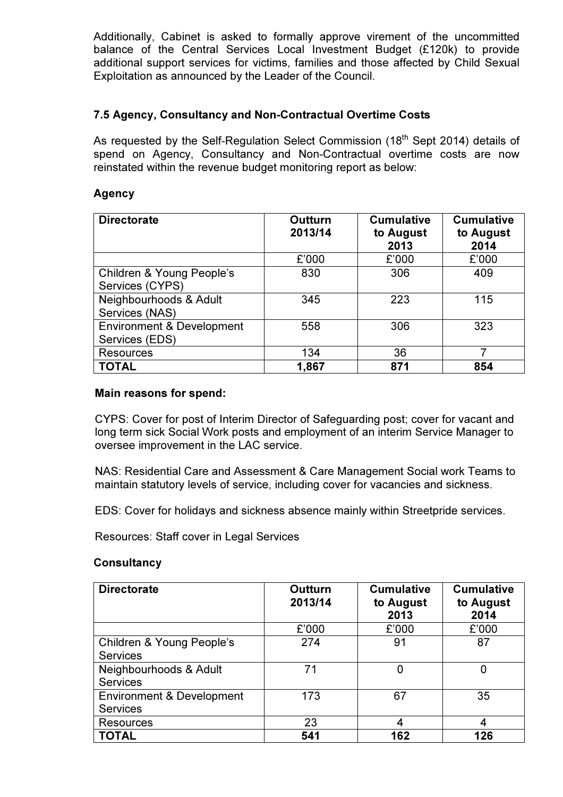Additionally, Cabinet is asked to formally approve virement of the uncommitted balance of the Central Services Local Investment Budget (£120k) to provide additional support services for victims, families and those affected by Child Sexual Exploitation as announced by the Leader of the Council.

### 7.5 Agency, Consultancy and Non-Contractual Overtime Costs

As requested by the Self-Regulation Select Commission (18<sup>th</sup> Sept 2014) details of spend on Agency, Consultancy and Non-Contractual overtime costs are now reinstated within the revenue budget monitoring report as below:

### Agency

| <b>Directorate</b>                                     | Outturn<br>2013/14 |       | <b>Cumulative</b><br>to August<br>2014 |  |
|--------------------------------------------------------|--------------------|-------|----------------------------------------|--|
|                                                        | £'000              | £'000 | £'000                                  |  |
| Children & Young People's<br>Services (CYPS)           | 830                | 306   | 409                                    |  |
| Neighbourhoods & Adult<br>Services (NAS)               | 345                | 223   | 115                                    |  |
| <b>Environment &amp; Development</b><br>Services (EDS) | 558                | 306   | 323                                    |  |
| <b>Resources</b>                                       | 134                | 36    |                                        |  |
| <b>TOTAL</b>                                           | 1,867              | 871   | 854                                    |  |

#### Main reasons for spend:

CYPS: Cover for post of Interim Director of Safeguarding post; cover for vacant and long term sick Social Work posts and employment of an interim Service Manager to oversee improvement in the LAC service.

NAS: Residential Care and Assessment & Care Management Social work Teams to maintain statutory levels of service, including cover for vacancies and sickness.

EDS: Cover for holidays and sickness absence mainly within Streetpride services.

Resources: Staff cover in Legal Services

### **Consultancy**

| <b>Directorate</b>                                      | Outturn<br>2013/14 | <b>Cumulative</b><br>to August<br>2013 | <b>Cumulative</b><br>to August<br>2014 |  |
|---------------------------------------------------------|--------------------|----------------------------------------|----------------------------------------|--|
|                                                         | £'000              | £'000                                  | £'000                                  |  |
| Children & Young People's<br><b>Services</b>            | 274                | 91                                     | 87                                     |  |
| Neighbourhoods & Adult<br><b>Services</b>               | 71                 | 0                                      |                                        |  |
| <b>Environment &amp; Development</b><br><b>Services</b> | 173                | 67                                     | 35                                     |  |
| <b>Resources</b>                                        | 23                 |                                        |                                        |  |
| <b>TOTAL</b>                                            | 541                | 162                                    | 126                                    |  |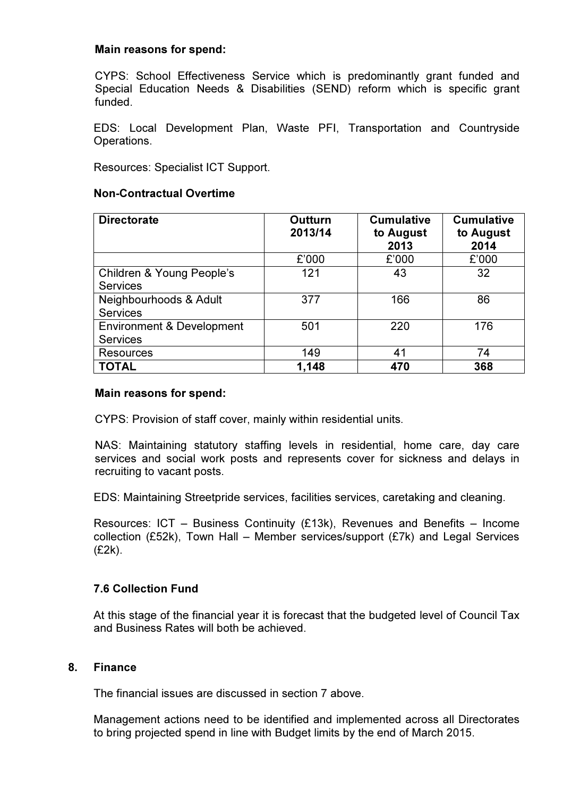### Main reasons for spend:

CYPS: School Effectiveness Service which is predominantly grant funded and Special Education Needs & Disabilities (SEND) reform which is specific grant funded.

EDS: Local Development Plan, Waste PFI, Transportation and Countryside Operations.

Resources: Specialist ICT Support.

#### Non-Contractual Overtime

| <b>Directorate</b>                                      | Outturn<br>2013/14 | <b>Cumulative</b><br>to August<br>2013 | <b>Cumulative</b><br>to August<br>2014 |  |
|---------------------------------------------------------|--------------------|----------------------------------------|----------------------------------------|--|
|                                                         | £'000              | £'000                                  | £'000                                  |  |
| Children & Young People's<br><b>Services</b>            | 121                | 43                                     | 32                                     |  |
| Neighbourhoods & Adult<br><b>Services</b>               | 377                | 166                                    | 86                                     |  |
| <b>Environment &amp; Development</b><br><b>Services</b> | 501                | 220                                    | 176                                    |  |
| <b>Resources</b>                                        | 149                | 41                                     | 74                                     |  |
| <b>TOTAL</b>                                            | 1,148              | 470                                    | 368                                    |  |

#### Main reasons for spend:

CYPS: Provision of staff cover, mainly within residential units.

NAS: Maintaining statutory staffing levels in residential, home care, day care services and social work posts and represents cover for sickness and delays in recruiting to vacant posts.

EDS: Maintaining Streetpride services, facilities services, caretaking and cleaning.

Resources: ICT – Business Continuity (£13k), Revenues and Benefits – Income collection (£52k), Town Hall – Member services/support (£7k) and Legal Services (£2k).

### 7.6 Collection Fund

At this stage of the financial year it is forecast that the budgeted level of Council Tax and Business Rates will both be achieved.

#### 8. Finance

The financial issues are discussed in section 7 above.

Management actions need to be identified and implemented across all Directorates to bring projected spend in line with Budget limits by the end of March 2015.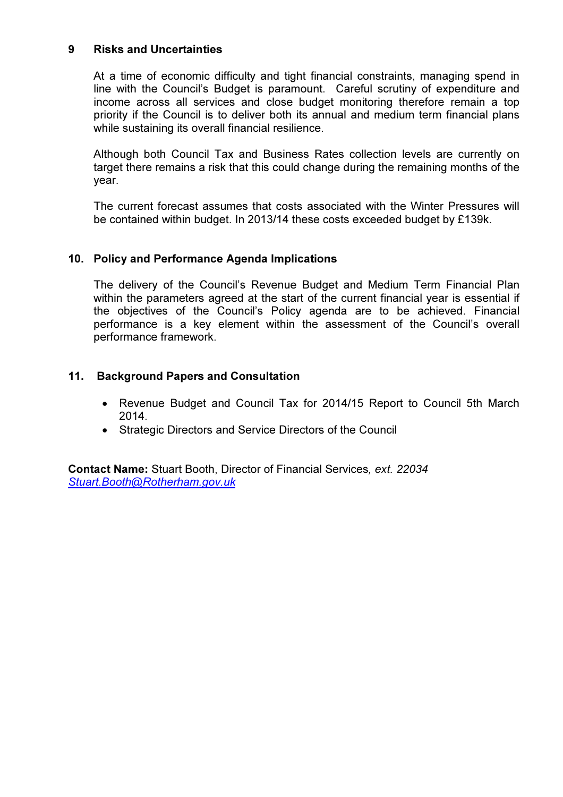#### 9 Risks and Uncertainties

At a time of economic difficulty and tight financial constraints, managing spend in line with the Council's Budget is paramount. Careful scrutiny of expenditure and income across all services and close budget monitoring therefore remain a top priority if the Council is to deliver both its annual and medium term financial plans while sustaining its overall financial resilience.

Although both Council Tax and Business Rates collection levels are currently on target there remains a risk that this could change during the remaining months of the year.

The current forecast assumes that costs associated with the Winter Pressures will be contained within budget. In 2013/14 these costs exceeded budget by £139k.

### 10. Policy and Performance Agenda Implications

The delivery of the Council's Revenue Budget and Medium Term Financial Plan within the parameters agreed at the start of the current financial year is essential if the objectives of the Council's Policy agenda are to be achieved. Financial performance is a key element within the assessment of the Council's overall performance framework.

### 11. Background Papers and Consultation

- Revenue Budget and Council Tax for 2014/15 Report to Council 5th March 2014.
- Strategic Directors and Service Directors of the Council

Contact Name: Stuart Booth, Director of Financial Services, ext. 22034 Stuart.Booth@Rotherham.gov.uk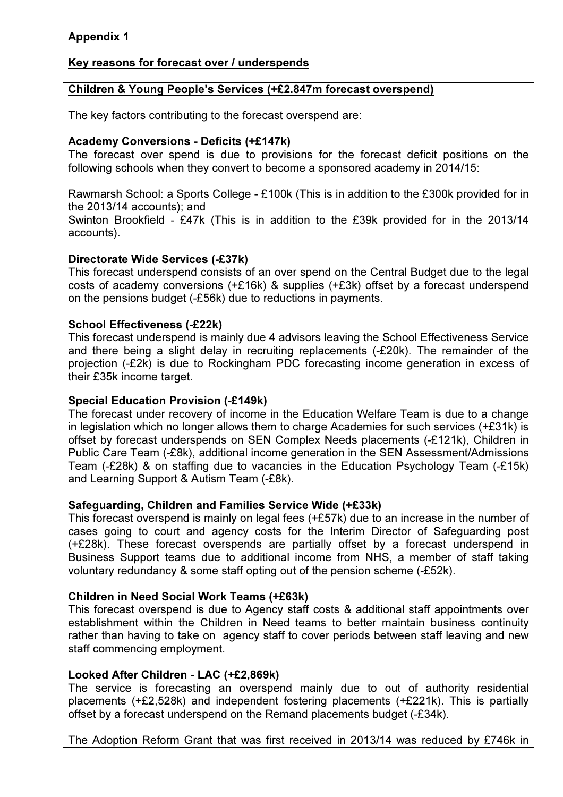# Appendix 1

### Key reasons for forecast over / underspends

### Children & Young People's Services (+£2.847m forecast overspend)

The key factors contributing to the forecast overspend are:

### Academy Conversions - Deficits (+£147k)

The forecast over spend is due to provisions for the forecast deficit positions on the following schools when they convert to become a sponsored academy in 2014/15:

Rawmarsh School: a Sports College - £100k (This is in addition to the £300k provided for in the 2013/14 accounts); and

Swinton Brookfield - £47k (This is in addition to the £39k provided for in the 2013/14 accounts).

### Directorate Wide Services (-£37k)

This forecast underspend consists of an over spend on the Central Budget due to the legal costs of academy conversions (+£16k) & supplies (+£3k) offset by a forecast underspend on the pensions budget (-£56k) due to reductions in payments.

### School Effectiveness (-£22k)

This forecast underspend is mainly due 4 advisors leaving the School Effectiveness Service and there being a slight delay in recruiting replacements (-£20k). The remainder of the projection (-£2k) is due to Rockingham PDC forecasting income generation in excess of their £35k income target.

### Special Education Provision (-£149k)

The forecast under recovery of income in the Education Welfare Team is due to a change in legislation which no longer allows them to charge Academies for such services (+£31k) is offset by forecast underspends on SEN Complex Needs placements (-£121k), Children in Public Care Team (-£8k), additional income generation in the SEN Assessment/Admissions Team (-£28k) & on staffing due to vacancies in the Education Psychology Team (-£15k) and Learning Support & Autism Team (-£8k).

### Safeguarding, Children and Families Service Wide (+£33k)

This forecast overspend is mainly on legal fees (+£57k) due to an increase in the number of cases going to court and agency costs for the Interim Director of Safeguarding post (+£28k). These forecast overspends are partially offset by a forecast underspend in Business Support teams due to additional income from NHS, a member of staff taking voluntary redundancy & some staff opting out of the pension scheme (-£52k).

### Children in Need Social Work Teams (+£63k)

This forecast overspend is due to Agency staff costs & additional staff appointments over establishment within the Children in Need teams to better maintain business continuity rather than having to take on agency staff to cover periods between staff leaving and new staff commencing employment.

### Looked After Children - LAC (+£2,869k)

The service is forecasting an overspend mainly due to out of authority residential placements (+£2,528k) and independent fostering placements (+£221k). This is partially offset by a forecast underspend on the Remand placements budget (-£34k).

The Adoption Reform Grant that was first received in 2013/14 was reduced by £746k in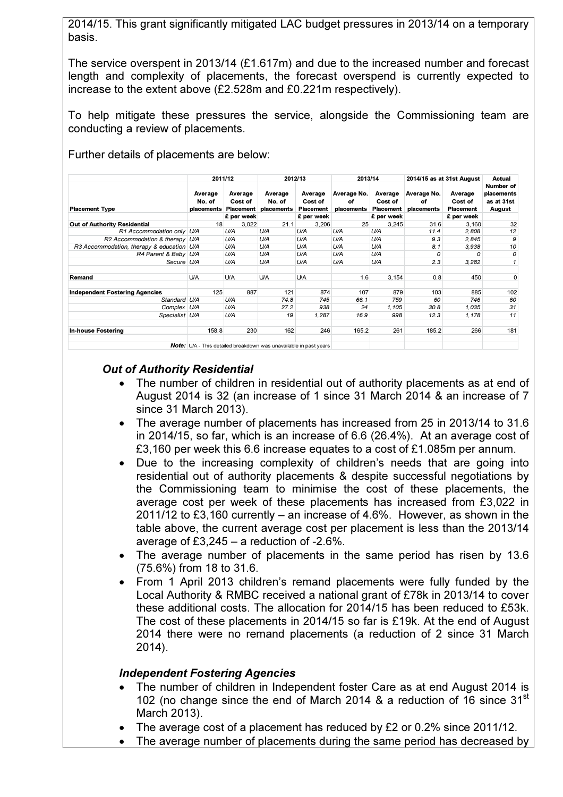2014/15. This grant significantly mitigated LAC budget pressures in 2013/14 on a temporary basis.

The service overspent in 2013/14 (£1.617m) and due to the increased number and forecast length and complexity of placements, the forecast overspend is currently expected to increase to the extent above (£2.528m and £0.221m respectively).

To help mitigate these pressures the service, alongside the Commissioning team are conducting a review of placements.

Further details of placements are below:

|                                           | 2011/12                                   |                    | 2012/13                                                                  |                                 | 2013/14                         |                                        | 2014/15 as at 31st August       |                                 | Actual                                          |
|-------------------------------------------|-------------------------------------------|--------------------|--------------------------------------------------------------------------|---------------------------------|---------------------------------|----------------------------------------|---------------------------------|---------------------------------|-------------------------------------------------|
| <b>Placement Type</b>                     | Average<br>No. of<br>placements Placement | Average<br>Cost of | Average<br>No. of<br>placements                                          | Average<br>Cost of<br>Placement | Average No.<br>оf<br>placements | Average<br>Cost of<br><b>Placement</b> | Average No.<br>оf<br>placements | Average<br>Cost of<br>Placement | Number of<br>placements<br>as at 31st<br>August |
|                                           |                                           | £ per week         |                                                                          | £ per week                      |                                 | £ per week                             |                                 | £ per week                      |                                                 |
| Out of Authority Residential              | 18                                        | 3,022              | 21.1                                                                     | 3,206                           | 25                              | 3,245                                  | 31.6                            | 3,160                           | 32                                              |
| R1 Accommodation only U/A                 |                                           | U/A                | U/A                                                                      | U/A                             | U/A                             | U/A                                    | 11.4                            | 2,808                           | 12                                              |
| R2 Accommodation & therapy U/A            |                                           | U/A                | U/A                                                                      | U/A                             | U/A                             | U/A                                    | 9.3                             | 2,845                           | 9                                               |
| R3 Accommodation, therapy & education U/A |                                           | U/A                | U/A                                                                      | U/A                             | U/A                             | U/A                                    | 8.1                             | 3,938                           | 10                                              |
| R4 Parent & Baby U/A                      |                                           | U/A                | U/A                                                                      | U/A                             | U/A                             | U/A                                    | $\Omega$                        | O                               | 0                                               |
| Secure U/A                                |                                           | U/A                | U/A                                                                      | U/A                             | U/A                             | U/A                                    | 2.3                             | 3,282                           |                                                 |
| Remand                                    | <b>U/A</b>                                | <b>U/A</b>         | <b>U/A</b>                                                               | <b>U/A</b>                      | 1.6                             | 3,154                                  | 0.8                             | 450                             | 0                                               |
| <b>Independent Fostering Agencies</b>     | 125                                       | 887                | 121                                                                      | 874                             | 107                             | 879                                    | 103                             | 885                             | 102                                             |
| Standard U/A                              |                                           | U/A                | 74.8                                                                     | 745                             | 66.1                            | 759                                    | 60                              | 746                             | 60                                              |
| Complex U/A                               |                                           | U/A                | 27.2                                                                     | 938                             | 24                              | 1,105                                  | 30.8                            | 1,035                           | 31                                              |
| Specialist U/A                            |                                           | U/A                | 19                                                                       | 1,287                           | 16.9                            | 998                                    | 12.3                            | 1,178                           | 11                                              |
| <b>In-house Fostering</b>                 | 158.8                                     | 230                | 162                                                                      | 246                             | 165.2                           | 261                                    | 185.2                           | 266                             | 181                                             |
|                                           |                                           |                    | <b>Note:</b> U/A - This detailed breakdown was unavailable in past years |                                 |                                 |                                        |                                 |                                 |                                                 |

### Out of Authority Residential

- The number of children in residential out of authority placements as at end of August 2014 is 32 (an increase of 1 since 31 March 2014 & an increase of 7 since 31 March 2013).
- The average number of placements has increased from 25 in 2013/14 to 31.6 in 2014/15, so far, which is an increase of 6.6 (26.4%). At an average cost of £3,160 per week this 6.6 increase equates to a cost of £1.085m per annum.
- Due to the increasing complexity of children's needs that are going into residential out of authority placements & despite successful negotiations by the Commissioning team to minimise the cost of these placements, the average cost per week of these placements has increased from £3,022 in 2011/12 to £3,160 currently – an increase of 4.6%. However, as shown in the table above, the current average cost per placement is less than the 2013/14 average of £3,245 – a reduction of -2.6%.
- The average number of placements in the same period has risen by 13.6 (75.6%) from 18 to 31.6.
- From 1 April 2013 children's remand placements were fully funded by the Local Authority & RMBC received a national grant of £78k in 2013/14 to cover these additional costs. The allocation for 2014/15 has been reduced to £53k. The cost of these placements in 2014/15 so far is £19k. At the end of August 2014 there were no remand placements (a reduction of 2 since 31 March 2014).

### Independent Fostering Agencies

- The number of children in Independent foster Care as at end August 2014 is 102 (no change since the end of March 2014 & a reduction of 16 since  $31<sup>st</sup>$ March 2013).
- The average cost of a placement has reduced by £2 or 0.2% since 2011/12.
- The average number of placements during the same period has decreased by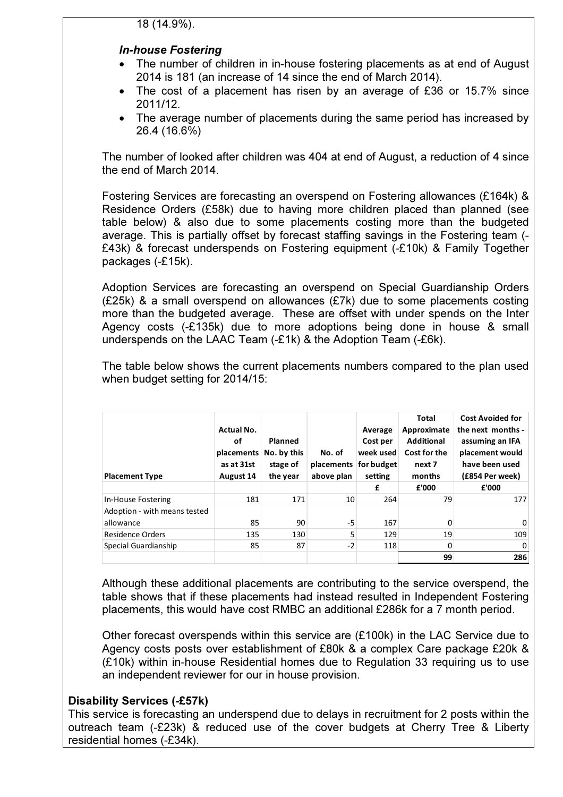### In-house Fostering

- The number of children in in-house fostering placements as at end of August 2014 is 181 (an increase of 14 since the end of March 2014).
- The cost of a placement has risen by an average of £36 or 15.7% since 2011/12.
- The average number of placements during the same period has increased by 26.4 (16.6%)

The number of looked after children was 404 at end of August, a reduction of 4 since the end of March 2014.

Fostering Services are forecasting an overspend on Fostering allowances (£164k) & Residence Orders (£58k) due to having more children placed than planned (see table below) & also due to some placements costing more than the budgeted average. This is partially offset by forecast staffing savings in the Fostering team (- £43k) & forecast underspends on Fostering equipment (-£10k) & Family Together packages (-£15k).

Adoption Services are forecasting an overspend on Special Guardianship Orders (£25k) & a small overspend on allowances (£7k) due to some placements costing more than the budgeted average. These are offset with under spends on the Inter Agency costs (-£135k) due to more adoptions being done in house & small underspends on the LAAC Team (-£1k) & the Adoption Team (-£6k).

The table below shows the current placements numbers compared to the plan used when budget setting for 2014/15:

| <b>Placement Type</b>        | <b>Actual No.</b><br>οf<br>placements<br>as at 31st<br>August 14 | Planned<br>No. by this<br>stage of<br>the year | No. of<br>placements<br>above plan | Average<br>Cost per<br>week used<br>for budget<br>setting | <b>Total</b><br>Approximate<br><b>Additional</b><br>Cost for the<br>next 7<br>months | <b>Cost Avoided for</b><br>the next months -<br>assuming an IFA<br>placement would<br>have been used<br>(£854 Per week) |
|------------------------------|------------------------------------------------------------------|------------------------------------------------|------------------------------------|-----------------------------------------------------------|--------------------------------------------------------------------------------------|-------------------------------------------------------------------------------------------------------------------------|
|                              |                                                                  |                                                |                                    | £                                                         | £'000                                                                                | £'000                                                                                                                   |
| In-House Fostering           | 181                                                              | 171                                            | 10                                 | 264                                                       | 79                                                                                   | 177                                                                                                                     |
| Adoption - with means tested |                                                                  |                                                |                                    |                                                           |                                                                                      |                                                                                                                         |
| allowance                    | 85                                                               | 90                                             | -5                                 | 167                                                       | 0                                                                                    | 0                                                                                                                       |
| Residence Orders             | 135                                                              | 130                                            | 5                                  | 129                                                       | 19                                                                                   | 109                                                                                                                     |
| Special Guardianship         | 85                                                               | 87                                             | $-2$                               | 118                                                       | 0                                                                                    | 0                                                                                                                       |
|                              |                                                                  |                                                |                                    |                                                           | 99                                                                                   | 286                                                                                                                     |

Although these additional placements are contributing to the service overspend, the table shows that if these placements had instead resulted in Independent Fostering placements, this would have cost RMBC an additional £286k for a 7 month period.

Other forecast overspends within this service are (£100k) in the LAC Service due to Agency costs posts over establishment of £80k & a complex Care package £20k & (£10k) within in-house Residential homes due to Regulation 33 requiring us to use an independent reviewer for our in house provision.

### Disability Services (-£57k)

This service is forecasting an underspend due to delays in recruitment for 2 posts within the outreach team (-£23k) & reduced use of the cover budgets at Cherry Tree & Liberty residential homes (-£34k).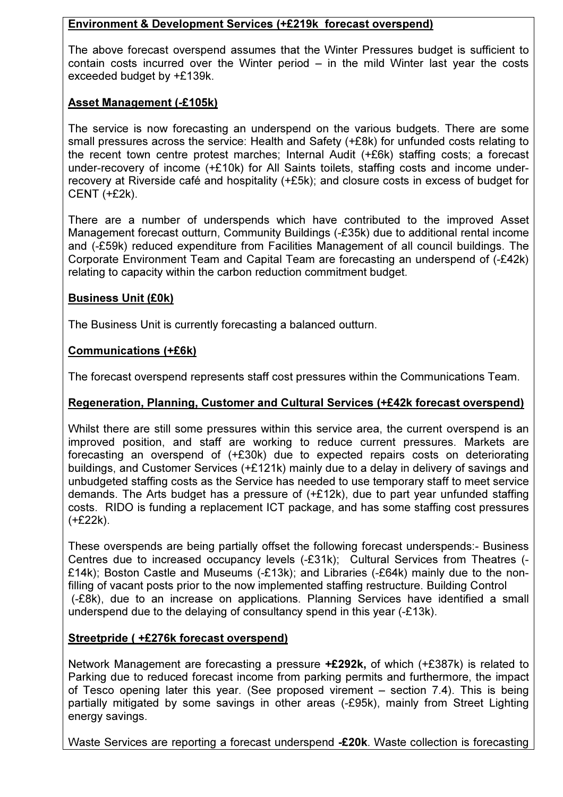# Environment & Development Services (+£219k forecast overspend)

The above forecast overspend assumes that the Winter Pressures budget is sufficient to contain costs incurred over the Winter period – in the mild Winter last year the costs exceeded budget by +£139k.

# Asset Management (-£105k)

The service is now forecasting an underspend on the various budgets. There are some small pressures across the service: Health and Safety (+£8k) for unfunded costs relating to the recent town centre protest marches; Internal Audit (+£6k) staffing costs; a forecast under-recovery of income (+£10k) for All Saints toilets, staffing costs and income underrecovery at Riverside café and hospitality (+£5k); and closure costs in excess of budget for CENT (+£2k).

There are a number of underspends which have contributed to the improved Asset Management forecast outturn, Community Buildings (-£35k) due to additional rental income and (-£59k) reduced expenditure from Facilities Management of all council buildings. The Corporate Environment Team and Capital Team are forecasting an underspend of (-£42k) relating to capacity within the carbon reduction commitment budget.

### Business Unit (£0k)

The Business Unit is currently forecasting a balanced outturn.

### Communications (+£6k)

The forecast overspend represents staff cost pressures within the Communications Team.

# Regeneration, Planning, Customer and Cultural Services (+£42k forecast overspend)

Whilst there are still some pressures within this service area, the current overspend is an improved position, and staff are working to reduce current pressures. Markets are forecasting an overspend of (+£30k) due to expected repairs costs on deteriorating buildings, and Customer Services (+£121k) mainly due to a delay in delivery of savings and unbudgeted staffing costs as the Service has needed to use temporary staff to meet service demands. The Arts budget has a pressure of (+£12k), due to part year unfunded staffing costs. RIDO is funding a replacement ICT package, and has some staffing cost pressures (+£22k).

These overspends are being partially offset the following forecast underspends:- Business Centres due to increased occupancy levels (-£31k); Cultural Services from Theatres (- £14k); Boston Castle and Museums (-£13k); and Libraries (-£64k) mainly due to the nonfilling of vacant posts prior to the now implemented staffing restructure. Building Control (-£8k), due to an increase on applications. Planning Services have identified a small underspend due to the delaying of consultancy spend in this year (-£13k).

### Streetpride ( +£276k forecast overspend)

Network Management are forecasting a pressure +£292k, of which (+£387k) is related to Parking due to reduced forecast income from parking permits and furthermore, the impact of Tesco opening later this year. (See proposed virement – section 7.4). This is being partially mitigated by some savings in other areas (-£95k), mainly from Street Lighting energy savings.

Waste Services are reporting a forecast underspend -£20k. Waste collection is forecasting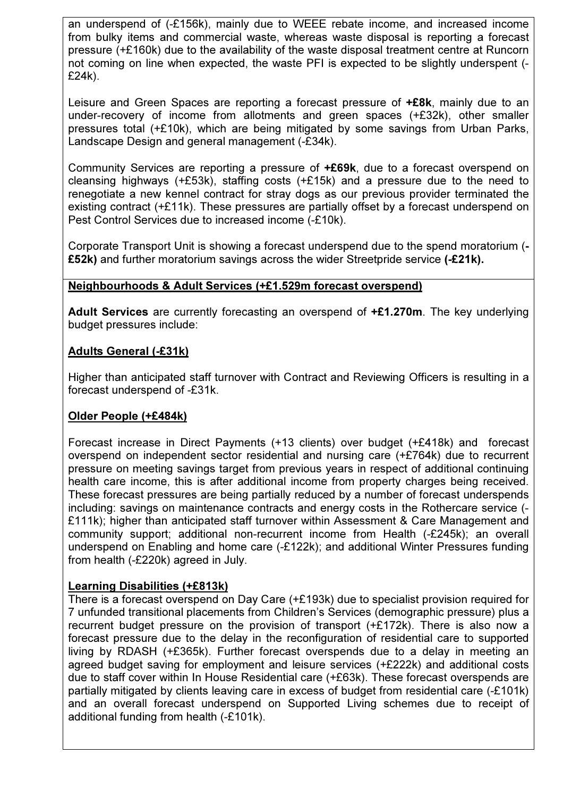an underspend of (-£156k), mainly due to WEEE rebate income, and increased income from bulky items and commercial waste, whereas waste disposal is reporting a forecast pressure (+£160k) due to the availability of the waste disposal treatment centre at Runcorn not coming on line when expected, the waste PFI is expected to be slightly underspent (- £24k).

Leisure and Green Spaces are reporting a forecast pressure of **+£8k**, mainly due to an under-recovery of income from allotments and green spaces (+£32k), other smaller pressures total (+£10k), which are being mitigated by some savings from Urban Parks, Landscape Design and general management (-£34k).

Community Services are reporting a pressure of +£69k, due to a forecast overspend on cleansing highways (+£53k), staffing costs (+£15k) and a pressure due to the need to renegotiate a new kennel contract for stray dogs as our previous provider terminated the existing contract (+£11k). These pressures are partially offset by a forecast underspend on Pest Control Services due to increased income (-£10k).

Corporate Transport Unit is showing a forecast underspend due to the spend moratorium (- £52k) and further moratorium savings across the wider Streetpride service (-£21k).

# Neighbourhoods & Adult Services (+£1.529m forecast overspend)

Adult Services are currently forecasting an overspend of +£1.270m. The key underlying budget pressures include:

# Adults General (-£31k)

Higher than anticipated staff turnover with Contract and Reviewing Officers is resulting in a forecast underspend of -£31k.

### Older People (+£484k)

Forecast increase in Direct Payments (+13 clients) over budget (+£418k) and forecast overspend on independent sector residential and nursing care (+£764k) due to recurrent pressure on meeting savings target from previous years in respect of additional continuing health care income, this is after additional income from property charges being received. These forecast pressures are being partially reduced by a number of forecast underspends including: savings on maintenance contracts and energy costs in the Rothercare service (- £111k); higher than anticipated staff turnover within Assessment & Care Management and community support; additional non-recurrent income from Health (-£245k); an overall underspend on Enabling and home care (-£122k); and additional Winter Pressures funding from health (-£220k) agreed in July.

### Learning Disabilities (+£813k)

There is a forecast overspend on Day Care (+£193k) due to specialist provision required for 7 unfunded transitional placements from Children's Services (demographic pressure) plus a recurrent budget pressure on the provision of transport (+£172k). There is also now a forecast pressure due to the delay in the reconfiguration of residential care to supported living by RDASH (+£365k). Further forecast overspends due to a delay in meeting an agreed budget saving for employment and leisure services (+£222k) and additional costs due to staff cover within In House Residential care (+£63k). These forecast overspends are partially mitigated by clients leaving care in excess of budget from residential care (-£101k) and an overall forecast underspend on Supported Living schemes due to receipt of additional funding from health (-£101k).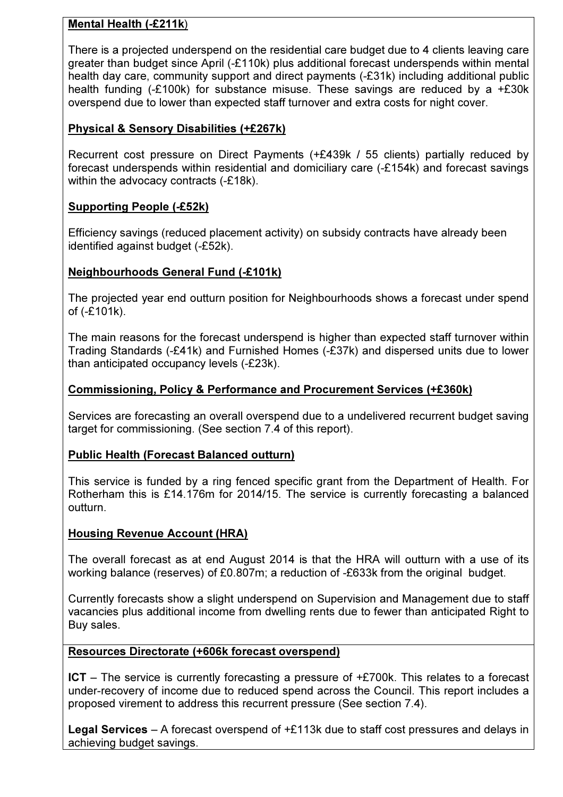# Mental Health (-£211k)

There is a projected underspend on the residential care budget due to 4 clients leaving care greater than budget since April (-£110k) plus additional forecast underspends within mental health day care, community support and direct payments (-£31k) including additional public health funding (-£100k) for substance misuse. These savings are reduced by a +£30k overspend due to lower than expected staff turnover and extra costs for night cover.

# Physical & Sensory Disabilities (+£267k)

Recurrent cost pressure on Direct Payments (+£439k / 55 clients) partially reduced by forecast underspends within residential and domiciliary care (-£154k) and forecast savings within the advocacy contracts (-£18k).

### Supporting People (-£52k)

Efficiency savings (reduced placement activity) on subsidy contracts have already been identified against budget (-£52k).

### Neighbourhoods General Fund (-£101k)

The projected year end outturn position for Neighbourhoods shows a forecast under spend of (-£101k).

The main reasons for the forecast underspend is higher than expected staff turnover within Trading Standards (-£41k) and Furnished Homes (-£37k) and dispersed units due to lower than anticipated occupancy levels (-£23k).

### Commissioning, Policy & Performance and Procurement Services (+£360k)

Services are forecasting an overall overspend due to a undelivered recurrent budget saving target for commissioning. (See section 7.4 of this report).

### Public Health (Forecast Balanced outturn)

This service is funded by a ring fenced specific grant from the Department of Health. For Rotherham this is £14.176m for 2014/15. The service is currently forecasting a balanced outturn.

### Housing Revenue Account (HRA)

The overall forecast as at end August 2014 is that the HRA will outturn with a use of its working balance (reserves) of £0.807m; a reduction of -£633k from the original budget.

Currently forecasts show a slight underspend on Supervision and Management due to staff vacancies plus additional income from dwelling rents due to fewer than anticipated Right to Buy sales.

### Resources Directorate (+606k forecast overspend)

ICT – The service is currently forecasting a pressure of +£700k. This relates to a forecast under-recovery of income due to reduced spend across the Council. This report includes a proposed virement to address this recurrent pressure (See section 7.4).

**Legal Services** – A forecast overspend of  $+E113k$  due to staff cost pressures and delays in achieving budget savings.